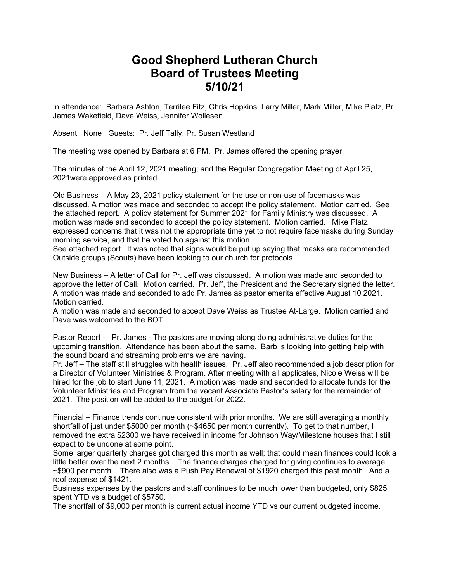# **Good Shepherd Lutheran Church Board of Trustees Meeting 5/10/21**

In attendance: Barbara Ashton, Terrilee Fitz, Chris Hopkins, Larry Miller, Mark Miller, Mike Platz, Pr. James Wakefield, Dave Weiss, Jennifer Wollesen

Absent: None Guests: Pr. Jeff Tally, Pr. Susan Westland

The meeting was opened by Barbara at 6 PM. Pr. James offered the opening prayer.

The minutes of the April 12, 2021 meeting; and the Regular Congregation Meeting of April 25, 2021were approved as printed.

Old Business – A May 23, 2021 policy statement for the use or non-use of facemasks was discussed. A motion was made and seconded to accept the policy statement. Motion carried. See the attached report. A policy statement for Summer 2021 for Family Ministry was discussed. A motion was made and seconded to accept the policy statement. Motion carried. Mike Platz expressed concerns that it was not the appropriate time yet to not require facemasks during Sunday morning service, and that he voted No against this motion.

See attached report. It was noted that signs would be put up saying that masks are recommended. Outside groups (Scouts) have been looking to our church for protocols.

New Business – A letter of Call for Pr. Jeff was discussed. A motion was made and seconded to approve the letter of Call. Motion carried. Pr. Jeff, the President and the Secretary signed the letter. A motion was made and seconded to add Pr. James as pastor emerita effective August 10 2021. Motion carried.

A motion was made and seconded to accept Dave Weiss as Trustee At-Large. Motion carried and Dave was welcomed to the BOT.

Pastor Report - Pr. James - The pastors are moving along doing administrative duties for the upcoming transition. Attendance has been about the same. Barb is looking into getting help with the sound board and streaming problems we are having.

Pr. Jeff – The staff still struggles with health issues. Pr. Jeff also recommended a job description for a Director of Volunteer Ministries & Program. After meeting with all applicates, Nicole Weiss will be hired for the job to start June 11, 2021. A motion was made and seconded to allocate funds for the Volunteer Ministries and Program from the vacant Associate Pastor's salary for the remainder of 2021. The position will be added to the budget for 2022.

Financial – Finance trends continue consistent with prior months. We are still averaging a monthly shortfall of just under \$5000 per month (~\$4650 per month currently). To get to that number, I removed the extra \$2300 we have received in income for Johnson Way/Milestone houses that I still expect to be undone at some point.

Some larger quarterly charges got charged this month as well; that could mean finances could look a little better over the next 2 months. The finance charges charged for giving continues to average ~\$900 per month. There also was a Push Pay Renewal of \$1920 charged this past month. And a roof expense of \$1421.

Business expenses by the pastors and staff continues to be much lower than budgeted, only \$825 spent YTD vs a budget of \$5750.

The shortfall of \$9,000 per month is current actual income YTD vs our current budgeted income.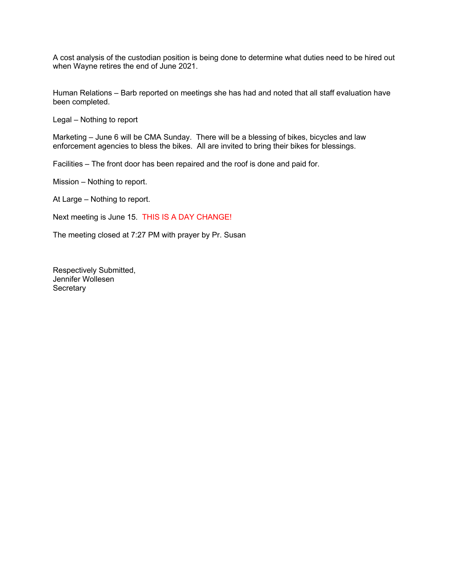A cost analysis of the custodian position is being done to determine what duties need to be hired out when Wayne retires the end of June 2021.

Human Relations – Barb reported on meetings she has had and noted that all staff evaluation have been completed.

Legal – Nothing to report

Marketing – June 6 will be CMA Sunday. There will be a blessing of bikes, bicycles and law enforcement agencies to bless the bikes. All are invited to bring their bikes for blessings.

Facilities – The front door has been repaired and the roof is done and paid for.

Mission – Nothing to report.

At Large – Nothing to report.

Next meeting is June 15. THIS IS A DAY CHANGE!

The meeting closed at 7:27 PM with prayer by Pr. Susan

Respectively Submitted, Jennifer Wollesen **Secretary**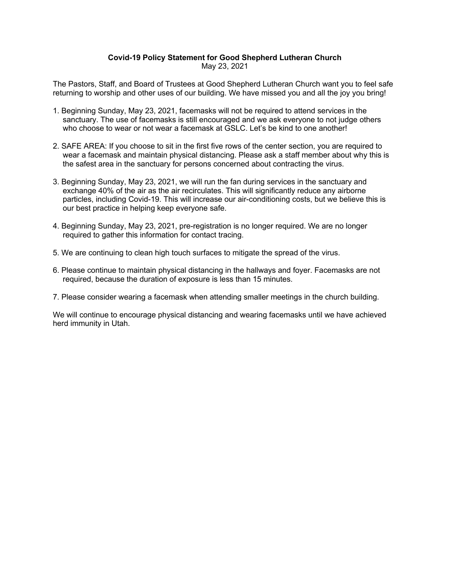#### **Covid-19 Policy Statement for Good Shepherd Lutheran Church** May 23, 2021

The Pastors, Staff, and Board of Trustees at Good Shepherd Lutheran Church want you to feel safe returning to worship and other uses of our building. We have missed you and all the joy you bring!

- 1. Beginning Sunday, May 23, 2021, facemasks will not be required to attend services in the sanctuary. The use of facemasks is still encouraged and we ask everyone to not judge others who choose to wear or not wear a facemask at GSLC. Let's be kind to one another!
- 2. SAFE AREA: If you choose to sit in the first five rows of the center section, you are required to wear a facemask and maintain physical distancing. Please ask a staff member about why this is the safest area in the sanctuary for persons concerned about contracting the virus.
- 3. Beginning Sunday, May 23, 2021, we will run the fan during services in the sanctuary and exchange 40% of the air as the air recirculates. This will significantly reduce any airborne particles, including Covid-19. This will increase our air-conditioning costs, but we believe this is our best practice in helping keep everyone safe.
- 4. Beginning Sunday, May 23, 2021, pre-registration is no longer required. We are no longer required to gather this information for contact tracing.
- 5. We are continuing to clean high touch surfaces to mitigate the spread of the virus.
- 6. Please continue to maintain physical distancing in the hallways and foyer. Facemasks are not required, because the duration of exposure is less than 15 minutes.
- 7. Please consider wearing a facemask when attending smaller meetings in the church building.

We will continue to encourage physical distancing and wearing facemasks until we have achieved herd immunity in Utah.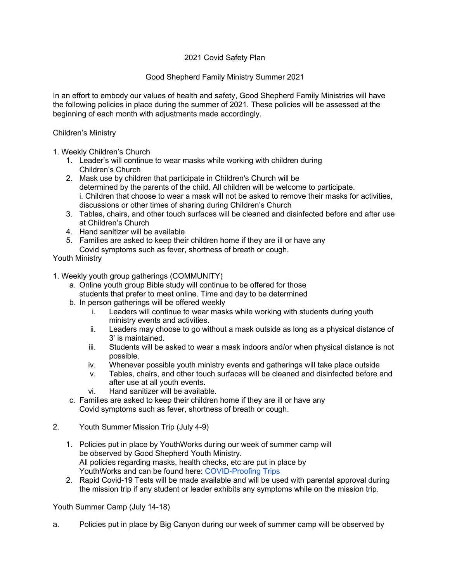# 2021 Covid Safety Plan

## Good Shepherd Family Ministry Summer 2021

In an effort to embody our values of health and safety, Good Shepherd Family Ministries will have the following policies in place during the summer of 2021. These policies will be assessed at the beginning of each month with adjustments made accordingly.

#### Children's Ministry

- 1. Weekly Children's Church
	- 1. Leader's will continue to wear masks while working with children during Children's Church
	- 2. Mask use by children that participate in Children's Church will be determined by the parents of the child. All children will be welcome to participate. i. Children that choose to wear a mask will not be asked to remove their masks for activities, discussions or other times of sharing during Children's Church
	- 3. Tables, chairs, and other touch surfaces will be cleaned and disinfected before and after use at Children's Church
	- 4. Hand sanitizer will be available
	- 5. Families are asked to keep their children home if they are ill or have any Covid symptoms such as fever, shortness of breath or cough.

Youth Ministry

- 1. Weekly youth group gatherings (COMMUNITY)
	- a. Online youth group Bible study will continue to be offered for those students that prefer to meet online. Time and day to be determined
	- b. In person gatherings will be offered weekly
		- i. Leaders will continue to wear masks while working with students during youth ministry events and activities.
		- ii. Leaders may choose to go without a mask outside as long as a physical distance of 3' is maintained.
		- iii. Students will be asked to wear a mask indoors and/or when physical distance is not possible.
		- iv. Whenever possible youth ministry events and gatherings will take place outside
		- v. Tables, chairs, and other touch surfaces will be cleaned and disinfected before and after use at all youth events.
		- vi. Hand sanitizer will be available.
	- c. Families are asked to keep their children home if they are ill or have any Covid symptoms such as fever, shortness of breath or cough.
- 2. Youth Summer Mission Trip (July 4-9)
	- 1. Policies put in place by YouthWorks during our week of summer camp will be observed by Good Shepherd Youth Ministry. All policies regarding masks, health checks, etc are put in place by YouthWorks and can be found here: COVID-Proofing Trips
	- 2. Rapid Covid-19 Tests will be made available and will be used with parental approval during the mission trip if any student or leader exhibits any symptoms while on the mission trip.

### Youth Summer Camp (July 14-18)

a. Policies put in place by Big Canyon during our week of summer camp will be observed by